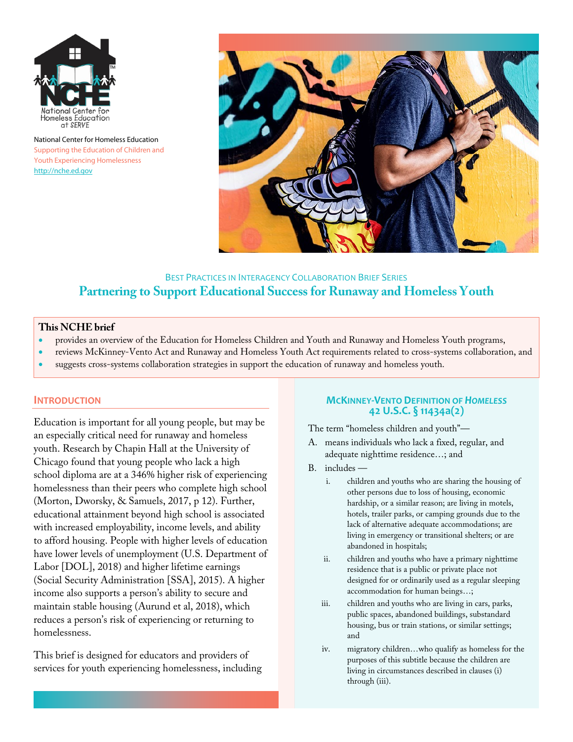

National Center for Homeless Education Supporting the Education of Children and Youth Experiencing Homelessness http://nche.ed.gov



# BEST PRACTICES IN INTERAGENCY COLLABORATION BRIEF SERIES **Partnering to Support Educational Success for Runaway and Homeless Youth**

#### **This NCHE brief**

- provides an overview of the Education for Homeless Children and Youth and Runaway and Homeless Youth programs,
- reviews McKinney-Vento Act and Runaway and Homeless Youth Act requirements related to cross-systems collaboration, and
- suggests cross-systems collaboration strategies in support the education of runaway and homeless youth.

#### **INTRODUCTION**

Education is important for all young people, but may be an especially critical need for runaway and homeless youth. Research by Chapin Hall at the University of Chicago found that young people who lack a high school diploma are at a 346% higher risk of experiencing homelessness than their peers who complete high school (Morton, Dworsky, & Samuels, 2017, p 12). Further, educational attainment beyond high school is associated with increased employability, income levels, and ability to afford housing. People with higher levels of education have lower levels of unemployment (U.S. Department of Labor [DOL], 2018) and higher lifetime earnings (Social Security Administration [SSA], 2015). A higher income also supports a person's ability to secure and maintain stable housing (Aurund et al, 2018), which reduces a person's risk of experiencing or returning to homelessness.

This brief is designed for educators and providers of services for youth experiencing homelessness, including

#### **MCKINNEY-VENTO DEFINITION OF** *HOMELESS* **42 U.S.C. § 11434a(2)**

The term "homeless children and youth"—

- A. means individuals who lack a fixed, regular, and adequate nighttime residence…; and
- B. includes
	- i. children and youths who are sharing the housing of other persons due to loss of housing, economic hardship, or a similar reason; are living in motels, hotels, trailer parks, or camping grounds due to the lack of alternative adequate accommodations; are living in emergency or transitional shelters; or are abandoned in hospitals;
	- ii. children and youths who have a primary nighttime residence that is a public or private place not designed for or ordinarily used as a regular sleeping accommodation for human beings…;
	- iii. children and youths who are living in cars, parks, public spaces, abandoned buildings, substandard housing, bus or train stations, or similar settings; and
	- iv. migratory children…who qualify as homeless for the purposes of this subtitle because the children are living in circumstances described in clauses (i) through (iii).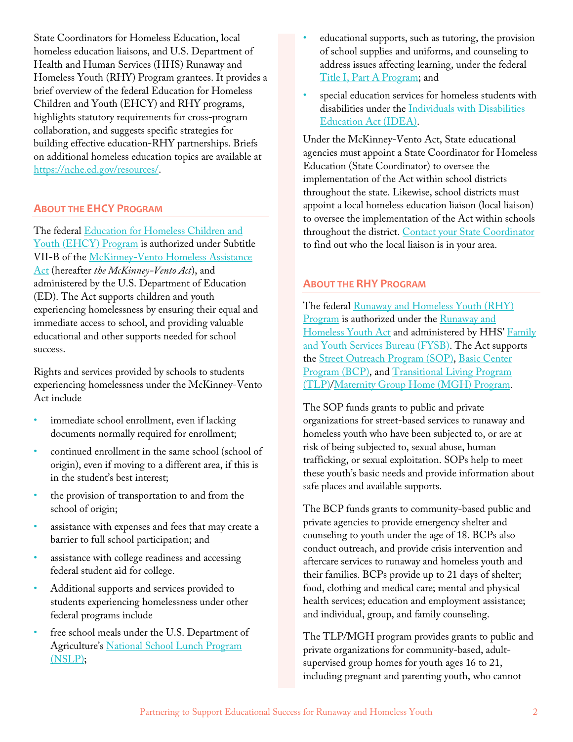State Coordinators for Homeless Education, local homeless education liaisons, and U.S. Department of Health and Human Services (HHS) Runaway and Homeless Youth (RHY) Program grantees. It provides a brief overview of the federal Education for Homeless Children and Youth (EHCY) and RHY programs, highlights statutory requirements for cross-program collaboration, and suggests specific strategies for building effective education-RHY partnerships. Briefs on additional homeless education topics are available at https://nche.ed.gov/resources/.

## **ABOUT THE EHCY PROGRAM**

The federal Education for Homeless Children and Youth (EHCY) Program is authorized under Subtitle VII-B of the McKinney-Vento Homeless Assistance Act (hereafter *the McKinney-Vento Act*), and administered by the U.S. Department of Education (ED). The Act supports children and youth experiencing homelessness by ensuring their equal and immediate access to school, and providing valuable educational and other supports needed for school success.

Rights and services provided by schools to students experiencing homelessness under the McKinney-Vento Act include

- immediate school enrollment, even if lacking documents normally required for enrollment;
- continued enrollment in the same school (school of origin), even if moving to a different area, if this is in the student's best interest;
- the provision of transportation to and from the school of origin;
- assistance with expenses and fees that may create a barrier to full school participation; and
- assistance with college readiness and accessing federal student aid for college.
- Additional supports and services provided to students experiencing homelessness under other federal programs include
- free school meals under the U.S. Department of Agriculture's National School Lunch Program (NSLP);
- educational supports, such as tutoring, the provision of school supplies and uniforms, and counseling to address issues affecting learning, under the federal Title I, Part A Program; and
- special education services for homeless students with disabilities under the Individuals with Disabilities Education Act (IDEA).

Under the McKinney-Vento Act, State educational agencies must appoint a State Coordinator for Homeless Education (State Coordinator) to oversee the implementation of the Act within school districts throughout the state. Likewise, school districts must appoint a local homeless education liaison (local liaison) to oversee the implementation of the Act within schools throughout the district. Contact your State Coordinator to find out who the local liaison is in your area.

### **ABOUT THE RHY PROGRAM**

The federal Runaway and Homeless Youth (RHY) Program is authorized under the Runaway and Homeless Youth Act and administered by HHS' Family and Youth Services Bureau (FYSB). The Act supports the Street Outreach Program (SOP), Basic Center Program (BCP), and Transitional Living Program (TLP)/Maternity Group Home (MGH) Program.

The SOP funds grants to public and private organizations for street-based services to runaway and homeless youth who have been subjected to, or are at risk of being subjected to, sexual abuse, human trafficking, or sexual exploitation. SOPs help to meet these youth's basic needs and provide information about safe places and available supports.

The BCP funds grants to community-based public and private agencies to provide emergency shelter and counseling to youth under the age of 18. BCPs also conduct outreach, and provide crisis intervention and aftercare services to runaway and homeless youth and their families. BCPs provide up to 21 days of shelter; food, clothing and medical care; mental and physical health services; education and employment assistance; and individual, group, and family counseling.

The TLP/MGH program provides grants to public and private organizations for community-based, adultsupervised group homes for youth ages 16 to 21, including pregnant and parenting youth, who cannot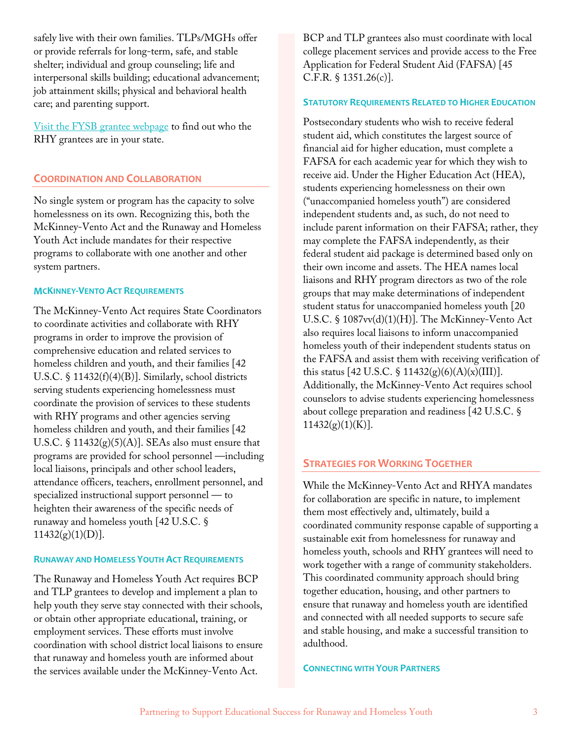safely live with their own families. TLPs/MGHs offer or provide referrals for long-term, safe, and stable shelter; individual and group counseling; life and interpersonal skills building; educational advancement; job attainment skills; physical and behavioral health care; and parenting support.

Visit the FYSB grantee webpage to find out who the RHY grantees are in your state.

### **COORDINATION AND COLLABORATION**

No single system or program has the capacity to solve homelessness on its own. Recognizing this, both the McKinney-Vento Act and the Runaway and Homeless Youth Act include mandates for their respective programs to collaborate with one another and other system partners.

### **MCKINNEY-VENTO ACT REQUIREMENTS**

The McKinney-Vento Act requires State Coordinators to coordinate activities and collaborate with RHY programs in order to improve the provision of comprehensive education and related services to homeless children and youth, and their families [42 U.S.C. § 11432(f)(4)(B)]. Similarly, school districts serving students experiencing homelessness must coordinate the provision of services to these students with RHY programs and other agencies serving homeless children and youth, and their families [42 U.S.C.  $\S$  11432(g)(5)(A)]. SEAs also must ensure that programs are provided for school personnel —including local liaisons, principals and other school leaders, attendance officers, teachers, enrollment personnel, and specialized instructional support personnel — to heighten their awareness of the specific needs of runaway and homeless youth [42 U.S.C. §  $11432(g)(1)(D)$ ].

### **RUNAWAY AND HOMELESS YOUTH ACT REQUIREMENTS**

The Runaway and Homeless Youth Act requires BCP and TLP grantees to develop and implement a plan to help youth they serve stay connected with their schools, or obtain other appropriate educational, training, or employment services. These efforts must involve coordination with school district local liaisons to ensure that runaway and homeless youth are informed about the services available under the McKinney-Vento Act.

BCP and TLP grantees also must coordinate with local college placement services and provide access to the Free Application for Federal Student Aid (FAFSA) [45 C.F.R. § 1351.26(c)].

#### **STATUTORY REQUIREMENTS RELATED TO HIGHER EDUCATION**

Postsecondary students who wish to receive federal student aid, which constitutes the largest source of financial aid for higher education, must complete a FAFSA for each academic year for which they wish to receive aid. Under the Higher Education Act (HEA), students experiencing homelessness on their own ("unaccompanied homeless youth") are considered independent students and, as such, do not need to include parent information on their FAFSA; rather, they may complete the FAFSA independently, as their federal student aid package is determined based only on their own income and assets. The HEA names local liaisons and RHY program directors as two of the role groups that may make determinations of independent student status for unaccompanied homeless youth [20 U.S.C. § 1087vv(d)(1)(H)]. The McKinney-Vento Act also requires local liaisons to inform unaccompanied homeless youth of their independent students status on the FAFSA and assist them with receiving verification of this status [42 U.S.C. § 11432(g)(6)(A)(x)(III)]. Additionally, the McKinney-Vento Act requires school counselors to advise students experiencing homelessness about college preparation and readiness [42 U.S.C. §  $11432(g)(1)(K)$ ].

### **STRATEGIES FOR WORKING TOGETHER**

While the McKinney-Vento Act and RHYA mandates for collaboration are specific in nature, to implement them most effectively and, ultimately, build a coordinated community response capable of supporting a sustainable exit from homelessness for runaway and homeless youth, schools and RHY grantees will need to work together with a range of community stakeholders. This coordinated community approach should bring together education, housing, and other partners to ensure that runaway and homeless youth are identified and connected with all needed supports to secure safe and stable housing, and make a successful transition to adulthood.

#### **CONNECTING WITH YOUR PARTNERS**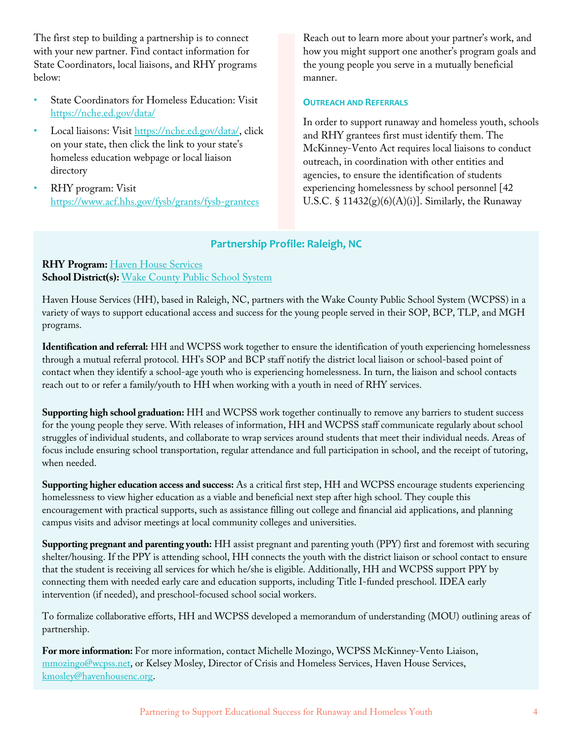The first step to building a partnership is to connect with your new partner. Find contact information for State Coordinators, local liaisons, and RHY programs below:

- State Coordinators for Homeless Education: Visit https://nche.ed.gov/data/
- Local liaisons: Visit https://nche.ed.gov/data/, click on your state, then click the link to your state's homeless education webpage or local liaison directory
- RHY program: Visit https://www.acf.hhs.gov/fysb/grants/fysb-grantees

Reach out to learn more about your partner's work, and how you might support one another's program goals and the young people you serve in a mutually beneficial manner.

#### **OUTREACH AND REFERRALS**

In order to support runaway and homeless youth, schools and RHY grantees first must identify them. The McKinney-Vento Act requires local liaisons to conduct outreach, in coordination with other entities and agencies, to ensure the identification of students experiencing homelessness by school personnel [42 U.S.C.  $\S 11432(g)(6)(A)(i)$ . Similarly, the Runaway

# **Partnership Profile: Raleigh, NC**

## **RHY Program:** Haven House Services **School District(s):** Wake County Public School System

Haven House Services (HH), based in Raleigh, NC, partners with the Wake County Public School System (WCPSS) in a variety of ways to support educational access and success for the young people served in their SOP, BCP, TLP, and MGH programs.

**Identification and referral:** HH and WCPSS work together to ensure the identification of youth experiencing homelessness through a mutual referral protocol. HH's SOP and BCP staff notify the district local liaison or school-based point of contact when they identify a school-age youth who is experiencing homelessness. In turn, the liaison and school contacts reach out to or refer a family/youth to HH when working with a youth in need of RHY services.

**Supporting high school graduation:** HH and WCPSS work together continually to remove any barriers to student success for the young people they serve. With releases of information, HH and WCPSS staff communicate regularly about school struggles of individual students, and collaborate to wrap services around students that meet their individual needs. Areas of focus include ensuring school transportation, regular attendance and full participation in school, and the receipt of tutoring, when needed.

**Supporting higher education access and success:** As a critical first step, HH and WCPSS encourage students experiencing homelessness to view higher education as a viable and beneficial next step after high school. They couple this encouragement with practical supports, such as assistance filling out college and financial aid applications, and planning campus visits and advisor meetings at local community colleges and universities.

**Supporting pregnant and parenting youth:** HH assist pregnant and parenting youth (PPY) first and foremost with securing shelter/housing. If the PPY is attending school, HH connects the youth with the district liaison or school contact to ensure that the student is receiving all services for which he/she is eligible. Additionally, HH and WCPSS support PPY by connecting them with needed early care and education supports, including Title I-funded preschool. IDEA early intervention (if needed), and preschool-focused school social workers.

To formalize collaborative efforts, HH and WCPSS developed a memorandum of understanding (MOU) outlining areas of partnership.

**For more information:** For more information, contact Michelle Mozingo, WCPSS McKinney-Vento Liaison, mmozingo@wcpss.net, or Kelsey Mosley, Director of Crisis and Homeless Services, Haven House Services, kmosley@havenhousenc.org.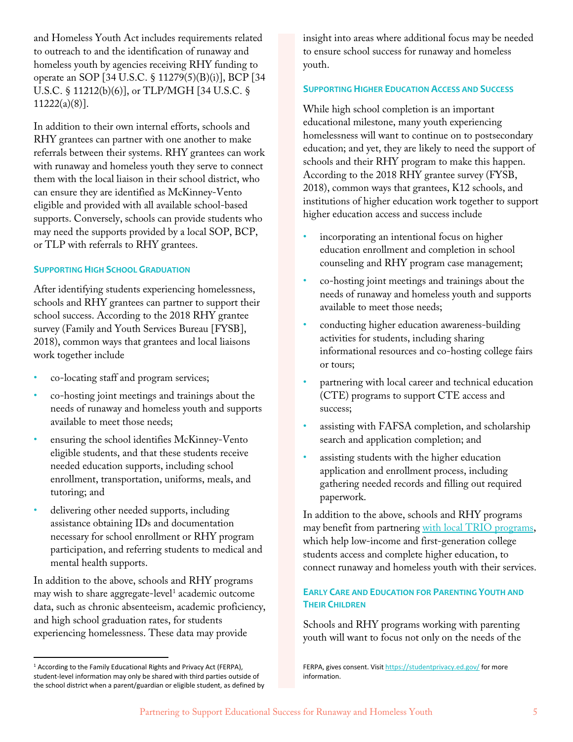and Homeless Youth Act includes requirements related to outreach to and the identification of runaway and homeless youth by agencies receiving RHY funding to operate an SOP [34 U.S.C. § 11279(5)(B)(i)], BCP [34 U.S.C. § 11212(b)(6)], or TLP/MGH [34 U.S.C. § 11222(a)(8)].

In addition to their own internal efforts, schools and RHY grantees can partner with one another to make referrals between their systems. RHY grantees can work with runaway and homeless youth they serve to connect them with the local liaison in their school district, who can ensure they are identified as McKinney-Vento eligible and provided with all available school-based supports. Conversely, schools can provide students who may need the supports provided by a local SOP, BCP, or TLP with referrals to RHY grantees.

### **SUPPORTING HIGH SCHOOL GRADUATION**

After identifying students experiencing homelessness, schools and RHY grantees can partner to support their school success. According to the 2018 RHY grantee survey (Family and Youth Services Bureau [FYSB], 2018), common ways that grantees and local liaisons work together include

- co-locating staff and program services;
- co-hosting joint meetings and trainings about the needs of runaway and homeless youth and supports available to meet those needs;
- ensuring the school identifies McKinney-Vento eligible students, and that these students receive needed education supports, including school enrollment, transportation, uniforms, meals, and tutoring; and
- delivering other needed supports, including assistance obtaining IDs and documentation necessary for school enrollment or RHY program participation, and referring students to medical and mental health supports.

In addition to the above, schools and RHY programs may wish to share aggregate-level<sup>1</sup> academic outcome data, such as chronic absenteeism, academic proficiency, and high school graduation rates, for students experiencing homelessness. These data may provide

insight into areas where additional focus may be needed to ensure school success for runaway and homeless youth.

#### **SUPPORTING HIGHER EDUCATION ACCESS AND SUCCESS**

While high school completion is an important educational milestone, many youth experiencing homelessness will want to continue on to postsecondary education; and yet, they are likely to need the support of schools and their RHY program to make this happen. According to the 2018 RHY grantee survey (FYSB, 2018), common ways that grantees, K12 schools, and institutions of higher education work together to support higher education access and success include

- incorporating an intentional focus on higher education enrollment and completion in school counseling and RHY program case management;
- co-hosting joint meetings and trainings about the needs of runaway and homeless youth and supports available to meet those needs;
- conducting higher education awareness-building activities for students, including sharing informational resources and co-hosting college fairs or tours;
- partnering with local career and technical education (CTE) programs to support CTE access and success;
- assisting with FAFSA completion, and scholarship search and application completion; and
- assisting students with the higher education application and enrollment process, including gathering needed records and filling out required paperwork.

In addition to the above, schools and RHY programs may benefit from partnering with local TRIO programs, which help low-income and first-generation college students access and complete higher education, to connect runaway and homeless youth with their services.

### **EARLY CARE AND EDUCATION FOR PARENTING YOUTH AND THEIR CHILDREN**

Schools and RHY programs working with parenting youth will want to focus not only on the needs of the

FERPA, gives consent. Visit https://studentprivacy.ed.gov/ for more information.

<sup>&</sup>lt;sup>1</sup> According to the Family Educational Rights and Privacy Act (FERPA), student-level information may only be shared with third parties outside of the school district when a parent/guardian or eligible student, as defined by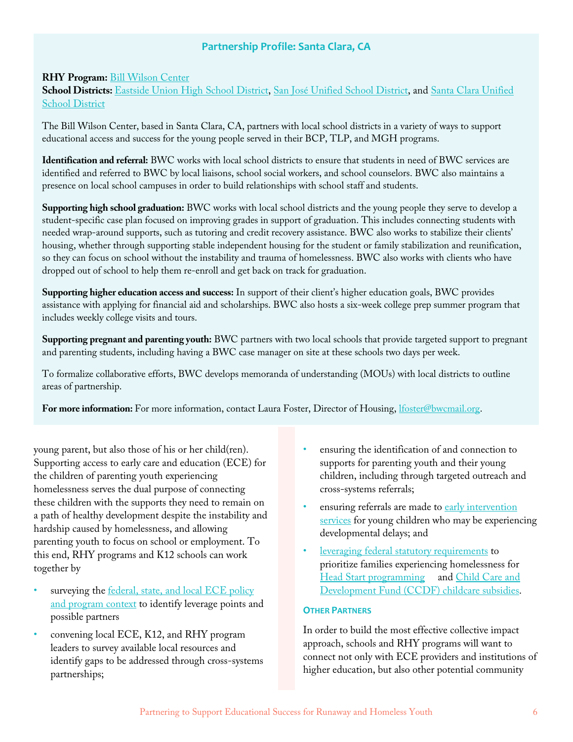# **Partnership Profile: Santa Clara, CA**

## **RHY Program:** Bill Wilson Center

**School Districts:** Eastside Union High School District, San José Unified School District, and Santa Clara Unified School District

The Bill Wilson Center, based in Santa Clara, CA, partners with local school districts in a variety of ways to support educational access and success for the young people served in their BCP, TLP, and MGH programs.

**Identification and referral:** BWC works with local school districts to ensure that students in need of BWC services are identified and referred to BWC by local liaisons, school social workers, and school counselors. BWC also maintains a presence on local school campuses in order to build relationships with school staff and students.

**Supporting high school graduation:** BWC works with local school districts and the young people they serve to develop a student-specific case plan focused on improving grades in support of graduation. This includes connecting students with needed wrap-around supports, such as tutoring and credit recovery assistance. BWC also works to stabilize their clients' housing, whether through supporting stable independent housing for the student or family stabilization and reunification, so they can focus on school without the instability and trauma of homelessness. BWC also works with clients who have dropped out of school to help them re-enroll and get back on track for graduation.

**Supporting higher education access and success:** In support of their client's higher education goals, BWC provides assistance with applying for financial aid and scholarships. BWC also hosts a six-week college prep summer program that includes weekly college visits and tours.

**Supporting pregnant and parenting youth:** BWC partners with two local schools that provide targeted support to pregnant and parenting students, including having a BWC case manager on site at these schools two days per week.

To formalize collaborative efforts, BWC develops memoranda of understanding (MOUs) with local districts to outline areas of partnership.

For more information: For more information, contact Laura Foster, Director of Housing, *lfoster@bwcmail.org*.

young parent, but also those of his or her child(ren). Supporting access to early care and education (ECE) for the children of parenting youth experiencing homelessness serves the dual purpose of connecting these children with the supports they need to remain on a path of healthy development despite the instability and hardship caused by homelessness, and allowing parenting youth to focus on school or employment. To this end, RHY programs and K12 schools can work together by

- surveying the federal, state, and local ECE policy and program context to identify leverage points and possible partners
- convening local ECE, K12, and RHY program leaders to survey available local resources and identify gaps to be addressed through cross-systems partnerships;
- ensuring the identification of and connection to supports for parenting youth and their young children, including through targeted outreach and cross-systems referrals;
- ensuring referrals are made to early intervention services for young children who may be experiencing developmental delays; and
- leveraging federal statutory requirements to prioritize families experiencing homelessness for Head Start programming and Child Care and Development Fund (CCDF) childcare subsidies.

#### **OTHER PARTNERS**

In order to build the most effective collective impact approach, schools and RHY programs will want to connect not only with ECE providers and institutions of higher education, but also other potential community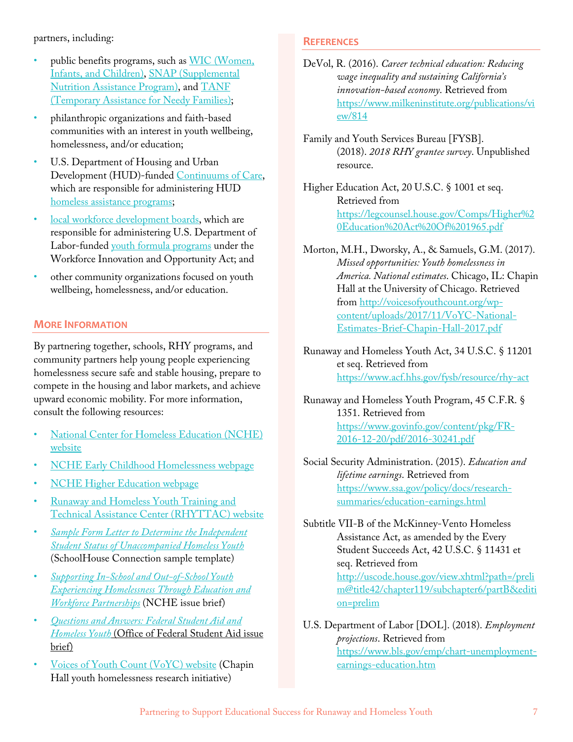partners, including:

- public benefits programs, such as WIC (Women, Infants, and Children), SNAP (Supplemental Nutrition Assistance Program), and TANF (Temporary Assistance for Needy Families);
- philanthropic organizations and faith-based communities with an interest in youth wellbeing, homelessness, and/or education;
- U.S. Department of Housing and Urban Development (HUD)-funded Continuums of Care, which are responsible for administering HUD homeless assistance programs;
- local workforce development boards, which are responsible for administering U.S. Department of Labor-funded youth formula programs under the Workforce Innovation and Opportunity Act; and
- other community organizations focused on youth wellbeing, homelessness, and/or education.

## **MORE INFORMATION**

By partnering together, schools, RHY programs, and community partners help young people experiencing homelessness secure safe and stable housing, prepare to compete in the housing and labor markets, and achieve upward economic mobility. For more information, consult the following resources:

- National Center for Homeless Education (NCHE) website
- NCHE Early Childhood Homelessness webpage
- **NCHE Higher Education webpage**
- Runaway and Homeless Youth Training and Technical Assistance Center (RHYTTAC) website
- *Sample Form Letter to Determine the Independent Student Status of Unaccompanied Homeless Youth* (SchoolHouse Connection sample template)
- *Supporting In-School and Out-of-School Youth Experiencing Homelessness Through Education and Workforce Partnerships* (NCHE issue brief)
- *Questions and Answers: Federal Student Aid and Homeless Youth* (Office of Federal Student Aid issue brief)
- Voices of Youth Count (VoYC) website (Chapin Hall youth homelessness research initiative)

## **REFERENCES**

- DeVol, R. (2016). *Career technical education: Reducing wage inequality and sustaining California's innovation-based economy*. Retrieved from https://www.milkeninstitute.org/publications/vi ew/814
- Family and Youth Services Bureau [FYSB]. (2018). *2018 RHY grantee survey*. Unpublished resource.
- Higher Education Act, 20 U.S.C. § 1001 et seq. Retrieved from https://legcounsel.house.gov/Comps/Higher%2 0Education%20Act%20Of%201965.pdf
- Morton, M.H., Dworsky, A., & Samuels, G.M. (2017). *Missed opportunities: Youth homelessness in America. National estimates*. Chicago, IL: Chapin Hall at the University of Chicago. Retrieved from http://voicesofyouthcount.org/wpcontent/uploads/2017/11/VoYC-National-Estimates-Brief-Chapin-Hall-2017.pdf
- Runaway and Homeless Youth Act, 34 U.S.C. § 11201 et seq. Retrieved from https://www.acf.hhs.gov/fysb/resource/rhy-act
- Runaway and Homeless Youth Program, 45 C.F.R. § 1351. Retrieved from https://www.govinfo.gov/content/pkg/FR-2016-12-20/pdf/2016-30241.pdf
- Social Security Administration. (2015). *Education and lifetime earnings*. Retrieved from https://www.ssa.gov/policy/docs/researchsummaries/education-earnings.html
- Subtitle VII-B of the McKinney-Vento Homeless Assistance Act, as amended by the Every Student Succeeds Act, 42 U.S.C. § 11431 et seq. Retrieved from http://uscode.house.gov/view.xhtml?path=/preli m@title42/chapter119/subchapter6/partB&editi on=prelim
- U.S. Department of Labor [DOL]. (2018). *Employment projections*. Retrieved from https://www.bls.gov/emp/chart-unemploymentearnings-education.htm